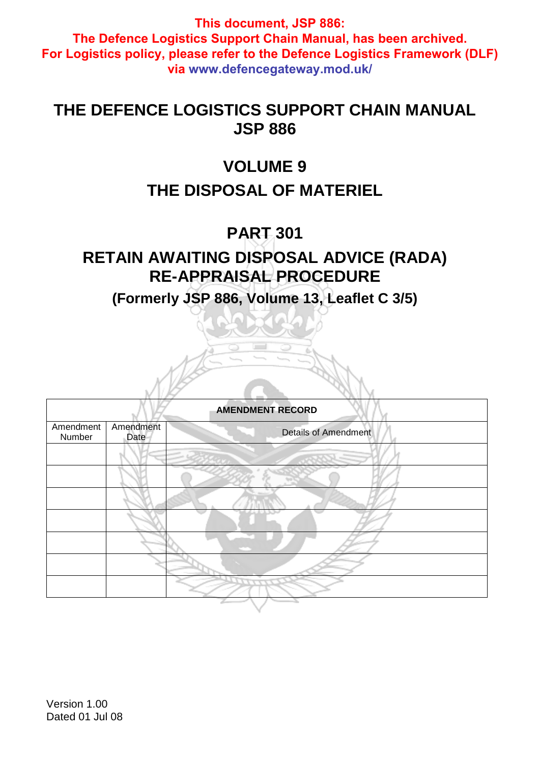## **THE DEFENCE LOGISTICS SUPPORT CHAIN MANUAL JSP 886**

# **VOLUME 9**

# **THE DISPOSAL OF MATERIEL**

# **PART 301**

# **RETAIN AWAITING DISPOSAL ADVICE (RADA) RE-APPRAISAL PROCEDURE**

**(Formerly JSP 886, Volume 13, Leaflet C 3/5)** 

| <b>AMENDMENT RECORD</b> |                   |                             |  |  |  |
|-------------------------|-------------------|-----------------------------|--|--|--|
| Amendment<br>Number     | Amendment<br>Date | <b>Details of Amendment</b> |  |  |  |
|                         |                   |                             |  |  |  |
|                         |                   |                             |  |  |  |
|                         |                   |                             |  |  |  |
|                         |                   |                             |  |  |  |
|                         |                   |                             |  |  |  |
|                         |                   |                             |  |  |  |
|                         |                   |                             |  |  |  |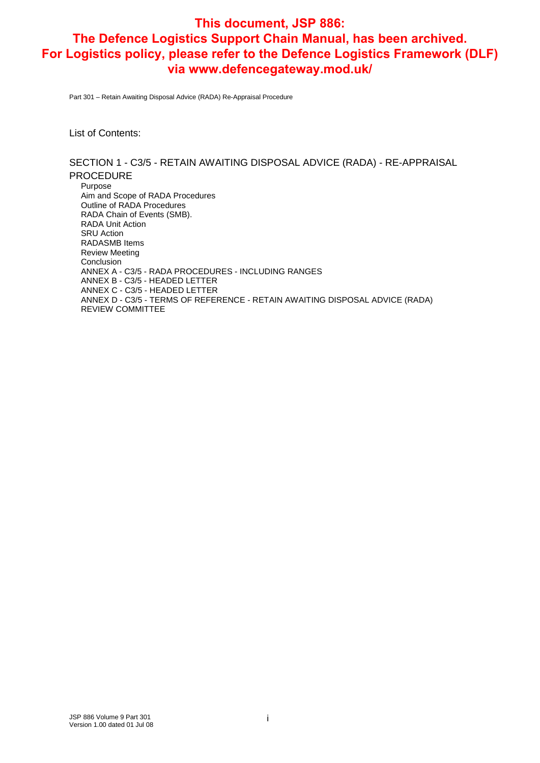Part 301 – Retain Awaiting Disposal Advice (RADA) Re-Appraisal Procedure

List of Contents:

SECTION 1 - C3/5 - RETAIN AWAITING DISPOSAL ADVICE (RADA) - RE-APPRAISAL PROCEDURE Purpose Aim and Scope of RADA Procedures Outline of RADA Procedures RADA Chain of Events (SMB). RADA Unit Action SRU Action RADASMB Items Review Meeting Conclusion ANNEX A - C3/5 - RADA PROCEDURES - INCLUDING RANGES ANNEX B - C3/5 - HEADED LETTER ANNEX C - C3/5 - HEADED LETTER ANNEX D - C3/5 - TERMS OF REFERENCE - RETAIN AWAITING DISPOSAL ADVICE (RADA) REVIEW COMMITTEE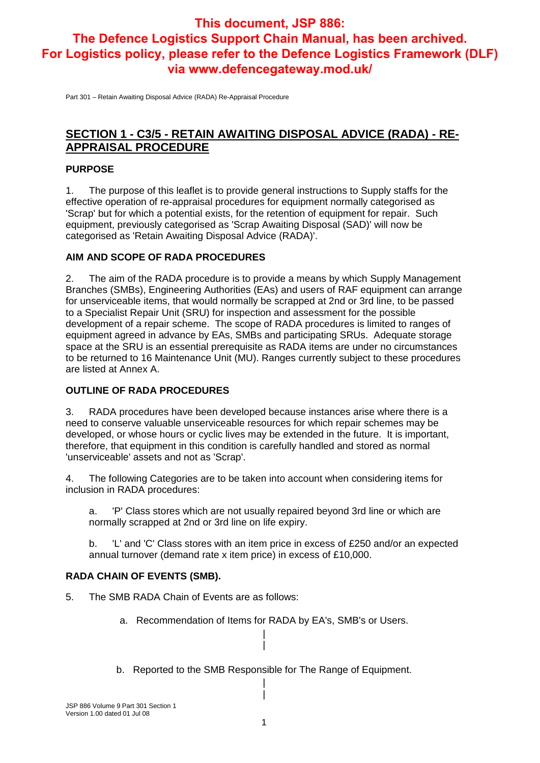Part 301 – Retain Awaiting Disposal Advice (RADA) Re-Appraisal Procedure

### **SECTION 1 - C3/5 - RETAIN AWAITING DISPOSAL ADVICE (RADA) - RE-APPRAISAL PROCEDURE**

#### **PURPOSE**

1. The purpose of this leaflet is to provide general instructions to Supply staffs for the effective operation of re-appraisal procedures for equipment normally categorised as 'Scrap' but for which a potential exists, for the retention of equipment for repair. Such equipment, previously categorised as 'Scrap Awaiting Disposal (SAD)' will now be categorised as 'Retain Awaiting Disposal Advice (RADA)'.

#### **AIM AND SCOPE OF RADA PROCEDURES**

2. The aim of the RADA procedure is to provide a means by which Supply Management Branches (SMBs), Engineering Authorities (EAs) and users of RAF equipment can arrange for unserviceable items, that would normally be scrapped at 2nd or 3rd line, to be passed to a Specialist Repair Unit (SRU) for inspection and assessment for the possible development of a repair scheme. The scope of RADA procedures is limited to ranges of equipment agreed in advance by EAs, SMBs and participating SRUs. Adequate storage space at the SRU is an essential prerequisite as RADA items are under no circumstances to be returned to 16 Maintenance Unit (MU). Ranges currently subject to these procedures are listed at Annex A.

#### **OUTLINE OF RADA PROCEDURES**

3. RADA procedures have been developed because instances arise where there is a need to conserve valuable unserviceable resources for which repair schemes may be developed, or whose hours or cyclic lives may be extended in the future. It is important, therefore, that equipment in this condition is carefully handled and stored as normal 'unserviceable' assets and not as 'Scrap'.

4. The following Categories are to be taken into account when considering items for inclusion in RADA procedures:

a. 'P' Class stores which are not usually repaired beyond 3rd line or which are normally scrapped at 2nd or 3rd line on life expiry.

b. 'L' and 'C' Class stores with an item price in excess of £250 and/or an expected annual turnover (demand rate x item price) in excess of £10,000.

#### **RADA CHAIN OF EVENTS (SMB).**

- 5. The SMB RADA Chain of Events are as follows:
	- a. Recommendation of Items for RADA by EA's, SMB's or Users. |
	- b. Reported to the SMB Responsible for The Range of Equipment. |

|

|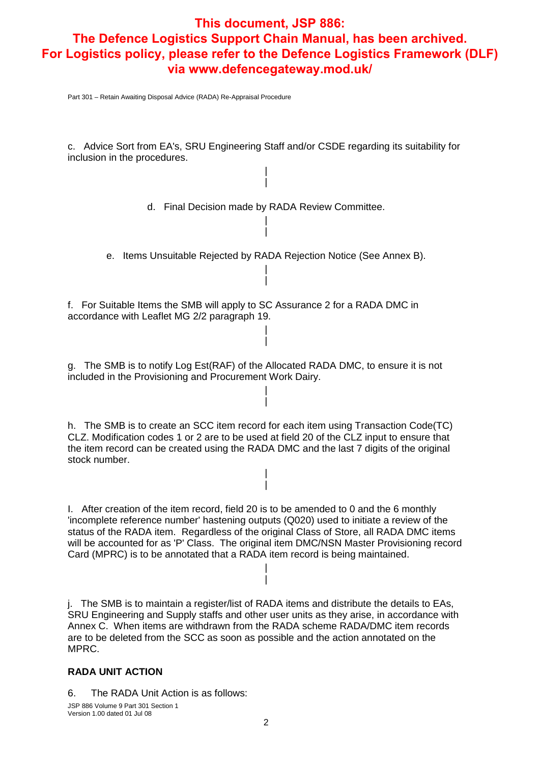Part 301 – Retain Awaiting Disposal Advice (RADA) Re-Appraisal Procedure

c. Advice Sort from EA's, SRU Engineering Staff and/or CSDE regarding its suitability for inclusion in the procedures.

> | |

d. Final Decision made by RADA Review Committee. |

e. Items Unsuitable Rejected by RADA Rejection Notice (See Annex B). |

|

| |

| |

|

f. For Suitable Items the SMB will apply to SC Assurance 2 for a RADA DMC in accordance with Leaflet MG 2/2 paragraph 19.

g. The SMB is to notify Log Est(RAF) of the Allocated RADA DMC, to ensure it is not included in the Provisioning and Procurement Work Dairy.

h. The SMB is to create an SCC item record for each item using Transaction Code(TC) CLZ. Modification codes 1 or 2 are to be used at field 20 of the CLZ input to ensure that the item record can be created using the RADA DMC and the last 7 digits of the original stock number.

> | |

I. After creation of the item record, field 20 is to be amended to 0 and the 6 monthly 'incomplete reference number' hastening outputs (Q020) used to initiate a review of the status of the RADA item. Regardless of the original Class of Store, all RADA DMC items will be accounted for as 'P' Class. The original item DMC/NSN Master Provisioning record Card (MPRC) is to be annotated that a RADA item record is being maintained.

> | |

j. The SMB is to maintain a register/list of RADA items and distribute the details to EAs, SRU Engineering and Supply staffs and other user units as they arise, in accordance with Annex C. When items are withdrawn from the RADA scheme RADA/DMC item records are to be deleted from the SCC as soon as possible and the action annotated on the MPRC.

#### **RADA UNIT ACTION**

6. The RADA Unit Action is as follows:

JSP 886 Volume 9 Part 301 Section 1 Version 1.00 dated 01 Jul 08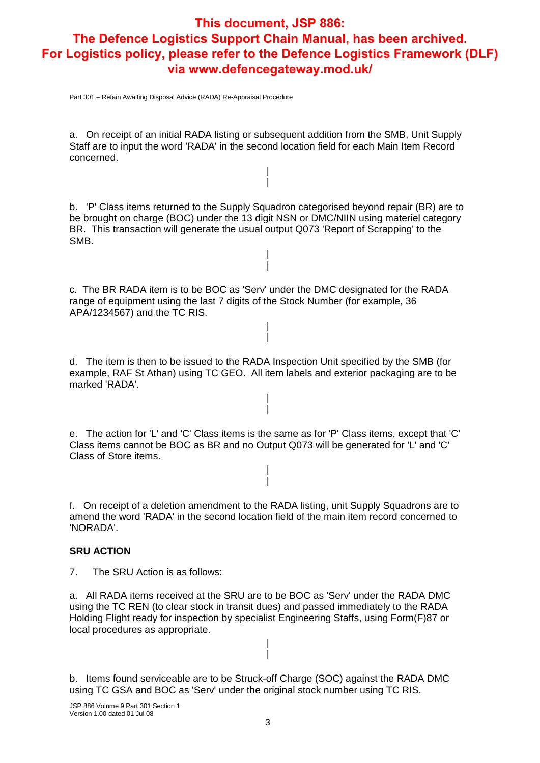Part 301 – Retain Awaiting Disposal Advice (RADA) Re-Appraisal Procedure

a. On receipt of an initial RADA listing or subsequent addition from the SMB, Unit Supply Staff are to input the word 'RADA' in the second location field for each Main Item Record concerned.

> | |

b. 'P' Class items returned to the Supply Squadron categorised beyond repair (BR) are to be brought on charge (BOC) under the 13 digit NSN or DMC/NIIN using materiel category BR. This transaction will generate the usual output Q073 'Report of Scrapping' to the SMB.

> | |

c. The BR RADA item is to be BOC as 'Serv' under the DMC designated for the RADA range of equipment using the last 7 digits of the Stock Number (for example, 36 APA/1234567) and the TC RIS.

> | |

d. The item is then to be issued to the RADA Inspection Unit specified by the SMB (for example, RAF St Athan) using TC GEO. All item labels and exterior packaging are to be marked 'RADA'.

> | |

e. The action for 'L' and 'C' Class items is the same as for 'P' Class items, except that 'C' Class items cannot be BOC as BR and no Output Q073 will be generated for 'L' and 'C' Class of Store items.

> | |

f. On receipt of a deletion amendment to the RADA listing, unit Supply Squadrons are to amend the word 'RADA' in the second location field of the main item record concerned to 'NORADA'.

#### **SRU ACTION**

7. The SRU Action is as follows:

a. All RADA items received at the SRU are to be BOC as 'Serv' under the RADA DMC using the TC REN (to clear stock in transit dues) and passed immediately to the RADA Holding Flight ready for inspection by specialist Engineering Staffs, using Form(F)87 or local procedures as appropriate.

> | |

b. Items found serviceable are to be Struck-off Charge (SOC) against the RADA DMC using TC GSA and BOC as 'Serv' under the original stock number using TC RIS.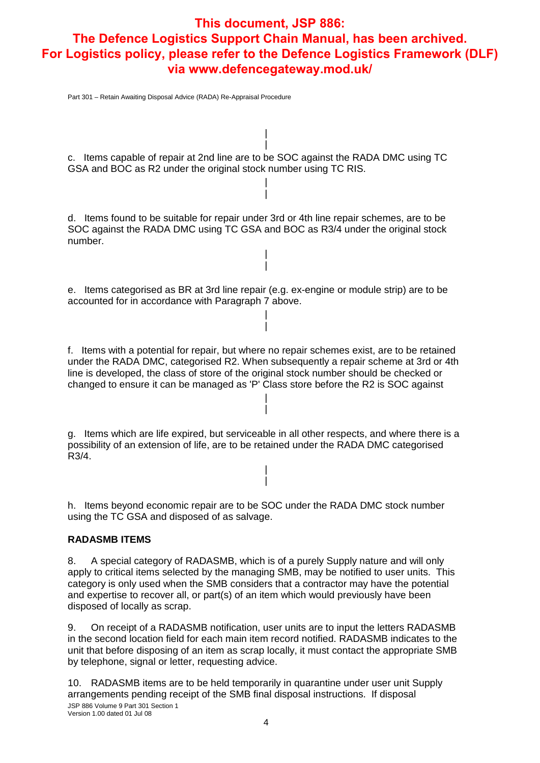Part 301 – Retain Awaiting Disposal Advice (RADA) Re-Appraisal Procedure

c. Items capable of repair at 2nd line are to be SOC against the RADA DMC using TC GSA and BOC as R2 under the original stock number using TC RIS.

| |

| |

d. Items found to be suitable for repair under 3rd or 4th line repair schemes, are to be SOC against the RADA DMC using TC GSA and BOC as R3/4 under the original stock number.

> | |

e. Items categorised as BR at 3rd line repair (e.g. ex-engine or module strip) are to be accounted for in accordance with Paragraph 7 above.

> | |

f. Items with a potential for repair, but where no repair schemes exist, are to be retained under the RADA DMC, categorised R2. When subsequently a repair scheme at 3rd or 4th line is developed, the class of store of the original stock number should be checked or changed to ensure it can be managed as 'P' Class store before the R2 is SOC against

> | |

g. Items which are life expired, but serviceable in all other respects, and where there is a possibility of an extension of life, are to be retained under the RADA DMC categorised R3/4.

> | |

h. Items beyond economic repair are to be SOC under the RADA DMC stock number using the TC GSA and disposed of as salvage.

#### **RADASMB ITEMS**

8. A special category of RADASMB, which is of a purely Supply nature and will only apply to critical items selected by the managing SMB, may be notified to user units. This category is only used when the SMB considers that a contractor may have the potential and expertise to recover all, or part(s) of an item which would previously have been disposed of locally as scrap.

9. On receipt of a RADASMB notification, user units are to input the letters RADASMB in the second location field for each main item record notified. RADASMB indicates to the unit that before disposing of an item as scrap locally, it must contact the appropriate SMB by telephone, signal or letter, requesting advice.

JSP 886 Volume 9 Part 301 Section 1 Version 1.00 dated 01 Jul 08 10. RADASMB items are to be held temporarily in quarantine under user unit Supply arrangements pending receipt of the SMB final disposal instructions. If disposal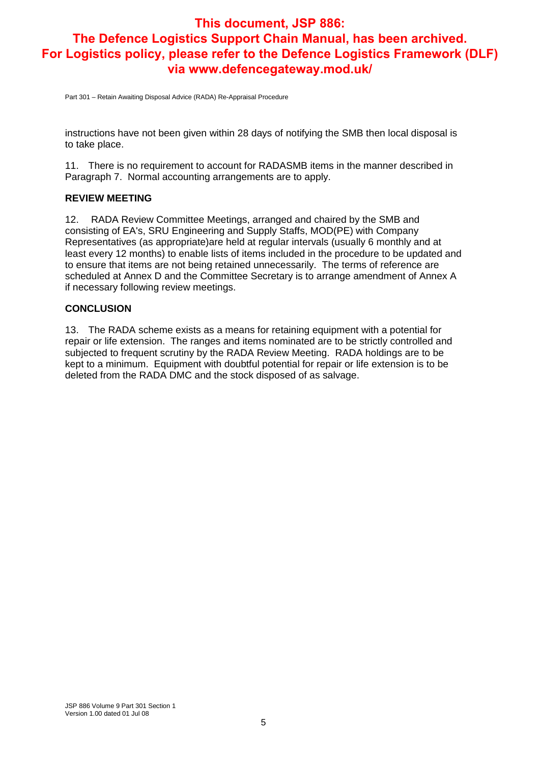Part 301 – Retain Awaiting Disposal Advice (RADA) Re-Appraisal Procedure

instructions have not been given within 28 days of notifying the SMB then local disposal is to take place.

11. There is no requirement to account for RADASMB items in the manner described in Paragraph 7. Normal accounting arrangements are to apply.

#### **REVIEW MEETING**

12. RADA Review Committee Meetings, arranged and chaired by the SMB and consisting of EA's, SRU Engineering and Supply Staffs, MOD(PE) with Company Representatives (as appropriate)are held at regular intervals (usually 6 monthly and at least every 12 months) to enable lists of items included in the procedure to be updated and to ensure that items are not being retained unnecessarily. The terms of reference are scheduled at Annex D and the Committee Secretary is to arrange amendment of Annex A if necessary following review meetings.

#### **CONCLUSION**

13. The RADA scheme exists as a means for retaining equipment with a potential for repair or life extension. The ranges and items nominated are to be strictly controlled and subjected to frequent scrutiny by the RADA Review Meeting. RADA holdings are to be kept to a minimum. Equipment with doubtful potential for repair or life extension is to be deleted from the RADA DMC and the stock disposed of as salvage.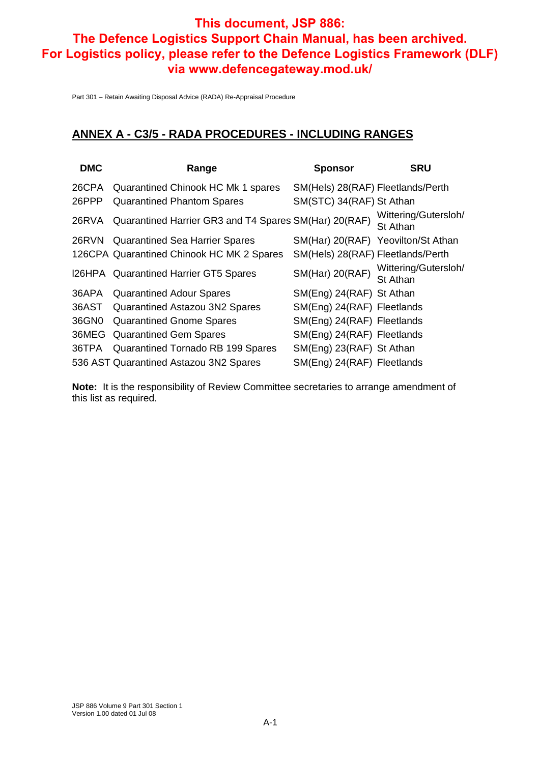Part 301 – Retain Awaiting Disposal Advice (RADA) Re-Appraisal Procedure

#### **ANNEX A - C3/5 - RADA PROCEDURES - INCLUDING RANGES**

| <b>DMC</b> | Range                                                 | <b>Sponsor</b>                    | <b>SRU</b>                         |
|------------|-------------------------------------------------------|-----------------------------------|------------------------------------|
| 26CPA      | Quarantined Chinook HC Mk 1 spares                    | SM(Hels) 28(RAF) Fleetlands/Perth |                                    |
| 26PPP      | <b>Quarantined Phantom Spares</b>                     | SM(STC) 34(RAF) St Athan          |                                    |
| 26RVA      | Quarantined Harrier GR3 and T4 Spares SM(Har) 20(RAF) |                                   | Wittering/Gutersloh/<br>St Athan   |
|            | 26RVN Quarantined Sea Harrier Spares                  |                                   | SM(Har) 20(RAF) Yeovilton/St Athan |
|            | 126CPA Quarantined Chinook HC MK 2 Spares             | SM(Hels) 28(RAF) Fleetlands/Perth |                                    |
|            | I26HPA Quarantined Harrier GT5 Spares                 | <b>SM(Har) 20(RAF)</b>            | Wittering/Gutersloh/<br>St Athan   |
| 36APA      | <b>Quarantined Adour Spares</b>                       | SM(Eng) 24(RAF) St Athan          |                                    |
|            | 36AST Quarantined Astazou 3N2 Spares                  | SM(Eng) 24(RAF) Fleetlands        |                                    |
| 36GN0      | <b>Quarantined Gnome Spares</b>                       | SM(Eng) 24(RAF) Fleetlands        |                                    |
|            | 36MEG Quarantined Gem Spares                          | SM(Eng) 24(RAF) Fleetlands        |                                    |
|            | 36TPA Quarantined Tornado RB 199 Spares               | SM(Eng) 23(RAF) St Athan          |                                    |
|            | 536 AST Quarantined Astazou 3N2 Spares                | SM(Eng) 24(RAF) Fleetlands        |                                    |
|            |                                                       |                                   |                                    |

**Note:** It is the responsibility of Review Committee secretaries to arrange amendment of this list as required.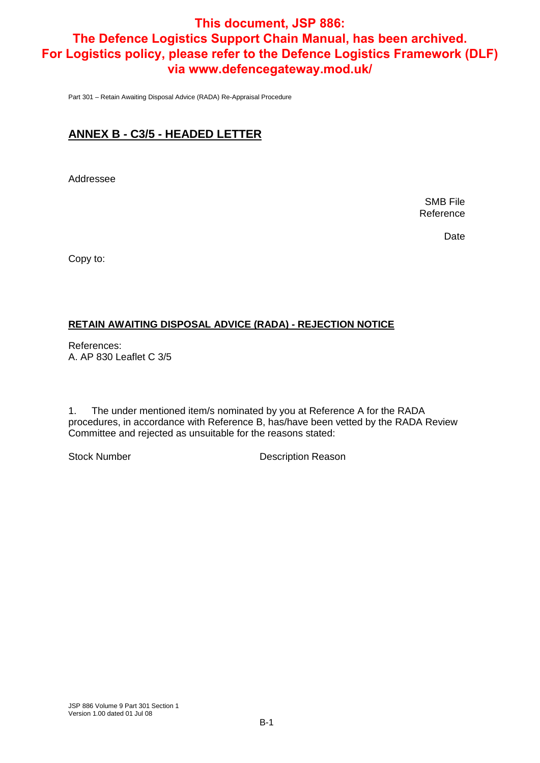Part 301 – Retain Awaiting Disposal Advice (RADA) Re-Appraisal Procedure

## **ANNEX B - C3/5 - HEADED LETTER**

Addressee

SMB File Reference

Date

Copy to:

#### **RETAIN AWAITING DISPOSAL ADVICE (RADA) - REJECTION NOTICE**

References: A. AP 830 Leaflet C 3/5

1. The under mentioned item/s nominated by you at Reference A for the RADA procedures, in accordance with Reference B, has/have been vetted by the RADA Review Committee and rejected as unsuitable for the reasons stated:

Stock Number **Description Reason**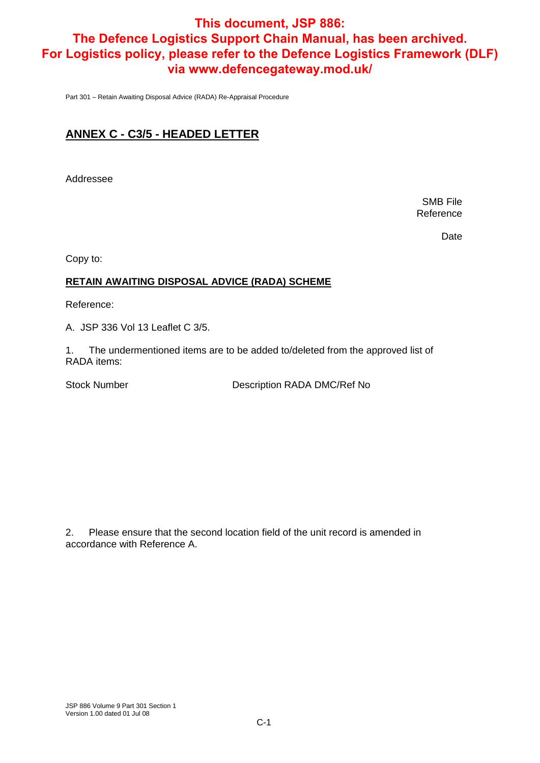Part 301 – Retain Awaiting Disposal Advice (RADA) Re-Appraisal Procedure

## **ANNEX C - C3/5 - HEADED LETTER**

Addressee

SMB File Reference

Date

Copy to:

#### **RETAIN AWAITING DISPOSAL ADVICE (RADA) SCHEME**

Reference:

A. JSP 336 Vol 13 Leaflet C 3/5.

1. The undermentioned items are to be added to/deleted from the approved list of RADA items:

Stock Number Description RADA DMC/Ref No

2. Please ensure that the second location field of the unit record is amended in accordance with Reference A.